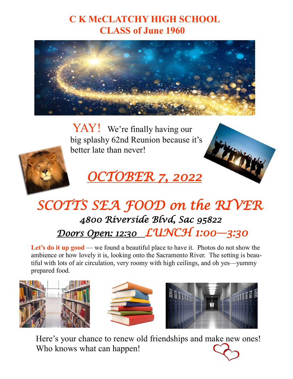### **C K McCLATCHY HIGH SCHOOL CLASS of June 1960**



YAY! We're finally having our big splashy 62nd Reunion because it's better late than never!



# *OCTOBER 7, 2022*

## *SCOTTS SEA FOOD on the RIVER 4800 Riverside Blvd, Sac 95822 Doors Open: 12:30 LUNCH 1:00—3:30*

Let's **do it up good** — we found a beautiful place to have it. Photos do not show the ambience or how lovely it is, looking onto the Sacramento River. The setting is beautiful with lots of air circulation, very roomy with high ceilings, and oh yes—yummy prepared food.







Here's your chance to renew old friendships and make new ones! Who knows what can happen!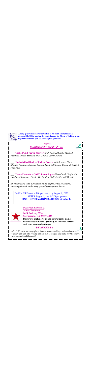

**A very generous donor who wishes to re-main anonymous has donated \$1,500 to pay for the rented room for 3 hours. To him, a very big-hearted thank you for making this possible!!** 

#### **MENU**  *CHOOSE ONE / \$60 Per Person*

\_\_\_ **Grilled Gulf Prawn Skewers** *with Roasted Garlic Mashed Potatoes, Wilted Spinach, Thai Chili & Citrus Butters* 

\_\_\_ **Herb Grilled Rocky Chicken Breasts** *with Roasted Garlic Mashed Potatoes, Summer Squash, Sundried Tomato Cream & Toasted Pine Nuts* 

\_\_\_ **Penne Pomodoro (VGT) Penne Rigate** *Tossed with California Heirloom Tomatoes, Garlic, Herbs, Red Chili & Olive Oil Drizzle* 

*All meals come with a delicious salad, coffee or tea selections, sourdough bread, and a very special scrumptious dessert.* 

EARLY BIRD cost is \$60 per person by August 1, 2022. AFTER August 1, cost is \$70 per person. **FINAL RESERVATION DATE IS September 1.**



*Please send checks to:*  **James Townsend 1624 Berkeley Way Sacramento, CA 95819-4025 Be sure to include your and your guest's name with correct amount \$60 or \$70, for each person and your menu selection(s)**

### **BY AUGUST 1**

After 3:30, there are many places in the restaurant to linger and continue to  $c_1$ . The day can turn into evening and can last as long as you make it! Who knows what can and might happen!!